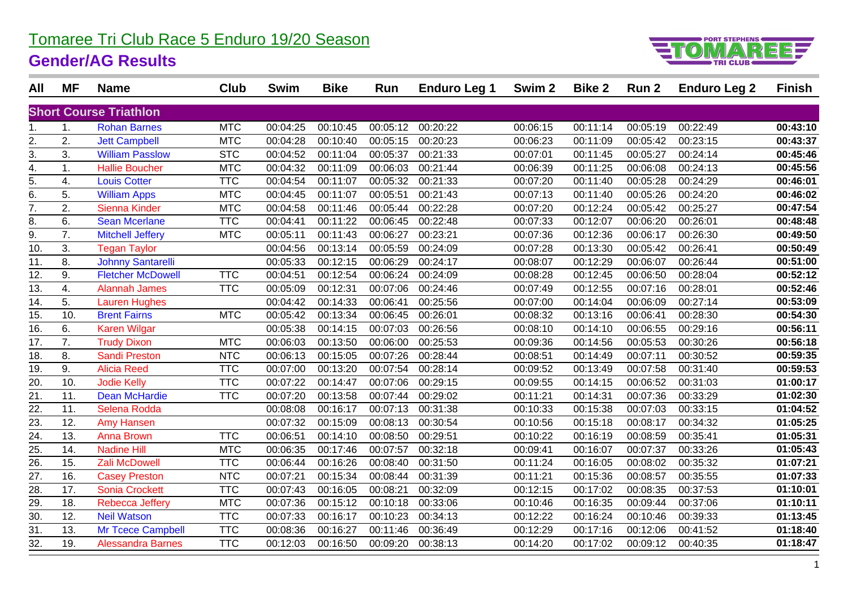### Tomaree Tri Club Race 5 Enduro 19/20 Season

#### **Gender/AG Results**



| All                           | ΜF  | <b>Name</b>              | Club       | <b>Swim</b> | <b>Bike</b> | Run      | <b>Enduro Leg 1</b> | Swim <sub>2</sub> | <b>Bike 2</b> | Run 2    | <b>Enduro Leg 2</b> | <b>Finish</b> |
|-------------------------------|-----|--------------------------|------------|-------------|-------------|----------|---------------------|-------------------|---------------|----------|---------------------|---------------|
| <b>Short Course Triathlon</b> |     |                          |            |             |             |          |                     |                   |               |          |                     |               |
| 1.                            | 1.  | <b>Rohan Barnes</b>      | <b>MTC</b> | 00:04:25    | 00:10:45    | 00:05:12 | 00:20:22            | 00:06:15          | 00:11:14      | 00:05:19 | 00:22:49            | 00:43:10      |
| 2.                            | 2.  | <b>Jett Campbell</b>     | <b>MTC</b> | 00:04:28    | 00:10:40    | 00:05:15 | 00:20:23            | 00:06:23          | 00:11:09      | 00:05:42 | 00:23:15            | 00:43:37      |
| 3.                            | 3.  | <b>William Passlow</b>   | <b>STC</b> | 00:04:52    | 00:11:04    | 00:05:37 | 00:21:33            | 00:07:01          | 00:11:45      | 00:05:27 | 00:24:14            | 00:45:46      |
| 4.                            | 1.  | <b>Hallie Boucher</b>    | <b>MTC</b> | 00:04:32    | 00:11:09    | 00:06:03 | 00:21:44            | 00:06:39          | 00:11:25      | 00:06:08 | 00:24:13            | 00:45:56      |
| 5.                            | 4.  | <b>Louis Cotter</b>      | <b>TTC</b> | 00:04:54    | 00:11:07    | 00:05:32 | 00:21:33            | 00:07:20          | 00:11:40      | 00:05:28 | 00:24:29            | 00:46:01      |
| 6.                            | 5.  | <b>William Apps</b>      | <b>MTC</b> | 00:04:45    | 00:11:07    | 00:05:51 | 00:21:43            | 00:07:13          | 00:11:40      | 00:05:26 | 00:24:20            | 00:46:02      |
| 7.                            | 2.  | Sienna Kinder            | <b>MTC</b> | 00:04:58    | 00:11:46    | 00:05:44 | 00:22:28            | 00:07:20          | 00:12:24      | 00:05:42 | 00:25:27            | 00:47:54      |
| 8.                            | 6.  | <b>Sean Mcerlane</b>     | <b>TTC</b> | 00:04:41    | 00:11:22    | 00:06:45 | 00:22:48            | 00:07:33          | 00:12:07      | 00:06:20 | 00:26:01            | 00:48:48      |
| 9.                            | 7.  | <b>Mitchell Jeffery</b>  | <b>MTC</b> | 00:05:11    | 00:11:43    | 00:06:27 | 00:23:21            | 00:07:36          | 00:12:36      | 00:06:17 | 00:26:30            | 00:49:50      |
| 10.                           | 3.  | <b>Tegan Taylor</b>      |            | 00:04:56    | 00:13:14    | 00:05:59 | 00:24:09            | 00:07:28          | 00:13:30      | 00:05:42 | 00:26:41            | 00:50:49      |
| 11.                           | 8.  | <b>Johnny Santarelli</b> |            | 00:05:33    | 00:12:15    | 00:06:29 | 00:24:17            | 00:08:07          | 00:12:29      | 00:06:07 | 00:26:44            | 00:51:00      |
| 12.                           | 9.  | <b>Fletcher McDowell</b> | <b>TTC</b> | 00:04:51    | 00:12:54    | 00:06:24 | 00:24:09            | 00:08:28          | 00:12:45      | 00:06:50 | 00:28:04            | 00:52:12      |
| 13.                           | 4.  | <b>Alannah James</b>     | <b>TTC</b> | 00:05:09    | 00:12:31    | 00:07:06 | 00:24:46            | 00:07:49          | 00:12:55      | 00:07:16 | 00:28:01            | 00:52:46      |
| $\overline{14}$ .             | 5.  | <b>Lauren Hughes</b>     |            | 00:04:42    | 00:14:33    | 00:06:41 | 00:25:56            | 00:07:00          | 00:14:04      | 00:06:09 | 00:27:14            | 00:53:09      |
| 15.                           | 10. | <b>Brent Fairns</b>      | <b>MTC</b> | 00:05:42    | 00:13:34    | 00:06:45 | 00:26:01            | 00:08:32          | 00:13:16      | 00:06:41 | 00:28:30            | 00:54:30      |
| 16.                           | 6.  | <b>Karen Wilgar</b>      |            | 00:05:38    | 00:14:15    | 00:07:03 | 00:26:56            | 00:08:10          | 00:14:10      | 00:06:55 | 00:29:16            | 00:56:11      |
| 17.                           | 7.  | <b>Trudy Dixon</b>       | <b>MTC</b> | 00:06:03    | 00:13:50    | 00:06:00 | 00:25:53            | 00:09:36          | 00:14:56      | 00:05:53 | 00:30:26            | 00:56:18      |
| 18.                           | 8.  | <b>Sandi Preston</b>     | <b>NTC</b> | 00:06:13    | 00:15:05    | 00:07:26 | 00:28:44            | 00:08:51          | 00:14:49      | 00:07:11 | 00:30:52            | 00:59:35      |
| 19.                           | 9.  | <b>Alicia Reed</b>       | <b>TTC</b> | 00:07:00    | 00:13:20    | 00:07:54 | 00:28:14            | 00:09:52          | 00:13:49      | 00:07:58 | 00:31:40            | 00:59:53      |
| 20.                           | 10. | <b>Jodie Kelly</b>       | <b>TTC</b> | 00:07:22    | 00:14:47    | 00:07:06 | 00:29:15            | 00:09:55          | 00:14:15      | 00:06:52 | 00:31:03            | 01:00:17      |
| $\overline{21}$               | 11. | <b>Dean McHardie</b>     | <b>TTC</b> | 00:07:20    | 00:13:58    | 00:07:44 | 00:29:02            | 00:11:21          | 00:14:31      | 00:07:36 | 00:33:29            | 01:02:30      |
| 22.                           | 11. | Selena Rodda             |            | 00:08:08    | 00:16:17    | 00:07:13 | 00:31:38            | 00:10:33          | 00:15:38      | 00:07:03 | 00:33:15            | 01:04:52      |
| 23.                           | 12. | Amy Hansen               |            | 00:07:32    | 00:15:09    | 00:08:13 | 00:30:54            | 00:10:56          | 00:15:18      | 00:08:17 | 00:34:32            | 01:05:25      |
| 24.                           | 13. | <b>Anna Brown</b>        | <b>TTC</b> | 00:06:51    | 00:14:10    | 00:08:50 | 00:29:51            | 00:10:22          | 00:16:19      | 00:08:59 | 00:35:41            | 01:05:31      |
| 25.                           | 14. | <b>Nadine Hill</b>       | <b>MTC</b> | 00:06:35    | 00:17:46    | 00:07:57 | 00:32:18            | 00:09:41          | 00:16:07      | 00:07:37 | 00:33:26            | 01:05:43      |
| 26.                           | 15. | <b>Zali McDowell</b>     | <b>TTC</b> | 00:06:44    | 00:16:26    | 00:08:40 | 00:31:50            | 00:11:24          | 00:16:05      | 00:08:02 | 00:35:32            | 01:07:21      |
| 27.                           | 16. | <b>Casey Preston</b>     | NTC        | 00:07:21    | 00:15:34    | 00:08:44 | 00:31:39            | 00:11:21          | 00:15:36      | 00:08:57 | 00:35:55            | 01:07:33      |
| 28.                           | 17. | <b>Sonia Crockett</b>    | <b>TTC</b> | 00:07:43    | 00:16:05    | 00:08:21 | 00:32:09            | 00:12:15          | 00:17:02      | 00:08:35 | 00:37:53            | 01:10:01      |
| $\overline{29}$ .             | 18. | Rebecca Jeffery          | <b>MTC</b> | 00:07:36    | 00:15:12    | 00:10:18 | 00:33:06            | 00:10:46          | 00:16:35      | 00:09:44 | 00:37:06            | 01:10:11      |
| 30.                           | 12. | <b>Neil Watson</b>       | <b>TTC</b> | 00:07:33    | 00:16:17    | 00:10:23 | 00:34:13            | 00:12:22          | 00:16:24      | 00:10:46 | 00:39:33            | 01:13:45      |
| 31.                           | 13. | Mr Tcece Campbell        | <b>TTC</b> | 00:08:36    | 00:16:27    | 00:11:46 | 00:36:49            | 00:12:29          | 00:17:16      | 00:12:06 | 00:41:52            | 01:18:40      |
| 32.                           | 19. | <b>Alessandra Barnes</b> | <b>TTC</b> | 00:12:03    | 00:16:50    | 00:09:20 | 00:38:13            | 00:14:20          | 00:17:02      | 00:09:12 | 00:40:35            | 01:18:47      |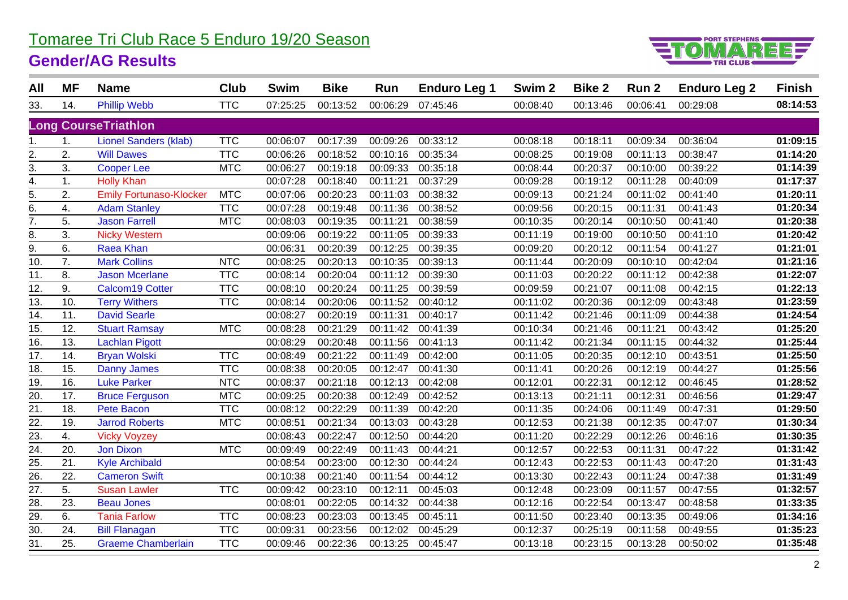# Tomaree Tri Club Race 5 Enduro 19/20 Season

#### **Gender/AG Results**



| All                         | <b>MF</b> | <b>Name</b>                    | Club       | <b>Swim</b> | <b>Bike</b> | Run      | <b>Enduro Leg 1</b> | Swim <sub>2</sub> | <b>Bike 2</b> | Run <sub>2</sub> | <b>Enduro Leg 2</b> | <b>Finish</b> |
|-----------------------------|-----------|--------------------------------|------------|-------------|-------------|----------|---------------------|-------------------|---------------|------------------|---------------------|---------------|
| 33.                         | 14.       | <b>Phillip Webb</b>            | <b>TTC</b> | 07:25:25    | 00:13:52    | 00:06:29 | 07:45:46            | 00:08:40          | 00:13:46      | 00:06:41         | 00:29:08            | 08:14:53      |
| <b>Long CourseTriathlon</b> |           |                                |            |             |             |          |                     |                   |               |                  |                     |               |
|                             | 1.        | <b>Lionel Sanders (klab)</b>   | <b>TTC</b> | 00:06:07    | 00:17:39    | 00:09:26 | 00:33:12            | 00:08:18          | 00:18:11      | 00:09:34         | 00:36:04            | 01:09:15      |
| 2.                          | 2.        | <b>Will Dawes</b>              | <b>TTC</b> | 00:06:26    | 00:18:52    | 00:10:16 | 00:35:34            | 00:08:25          | 00:19:08      | 00:11:13         | 00:38:47            | 01:14:20      |
| 3.                          | 3.        | <b>Cooper Lee</b>              | <b>MTC</b> | 00:06:27    | 00:19:18    | 00:09:33 | 00:35:18            | 00:08:44          | 00:20:37      | 00:10:00         | 00:39:22            | 01:14:39      |
| 4.                          | 1.        | <b>Holly Khan</b>              |            | 00:07:28    | 00:18:40    | 00:11:21 | 00:37:29            | 00:09:28          | 00:19:12      | 00:11:28         | 00:40:09            | 01:17:37      |
| $\overline{5}$ .            | 2.        | <b>Emily Fortunaso-Klocker</b> | <b>MTC</b> | 00:07:06    | 00:20:23    | 00:11:03 | 00:38:32            | 00:09:13          | 00:21:24      | 00:11:02         | 00:41:40            | 01:20:11      |
| 6.                          | 4.        | <b>Adam Stanley</b>            | <b>TTC</b> | 00:07:28    | 00:19:48    | 00:11:36 | 00:38:52            | 00:09:56          | 00:20:15      | 00:11:31         | 00:41:43            | 01:20:34      |
| 7.                          | 5.        | <b>Jason Farrell</b>           | <b>MTC</b> | 00:08:03    | 00:19:35    | 00:11:21 | 00:38:59            | 00:10:35          | 00:20:14      | 00:10:50         | 00:41:40            | 01:20:38      |
| 8.                          | 3.        | <b>Nicky Western</b>           |            | 00:09:06    | 00:19:22    | 00:11:05 | 00:39:33            | 00:11:19          | 00:19:00      | 00:10:50         | 00:41:10            | 01:20:42      |
| 9.                          | 6.        | Raea Khan                      |            | 00:06:31    | 00:20:39    | 00:12:25 | 00:39:35            | 00:09:20          | 00:20:12      | 00:11:54         | 00:41:27            | 01:21:01      |
| 10.                         | 7.        | <b>Mark Collins</b>            | <b>NTC</b> | 00:08:25    | 00:20:13    | 00:10:35 | 00:39:13            | 00:11:44          | 00:20:09      | 00:10:10         | 00:42:04            | 01:21:16      |
| 11.                         | 8.        | <b>Jason Mcerlane</b>          | <b>TTC</b> | 00:08:14    | 00:20:04    | 00:11:12 | 00:39:30            | 00:11:03          | 00:20:22      | 00:11:12         | 00:42:38            | 01:22:07      |
| $\overline{12}$ .           | 9.        | <b>Calcom19 Cotter</b>         | <b>TTC</b> | 00:08:10    | 00:20:24    | 00:11:25 | 00:39:59            | 00:09:59          | 00:21:07      | 00:11:08         | 00:42:15            | 01:22:13      |
| 13.                         | 10.       | <b>Terry Withers</b>           | <b>TTC</b> | 00:08:14    | 00:20:06    | 00:11:52 | 00:40:12            | 00:11:02          | 00:20:36      | 00:12:09         | 00:43:48            | 01:23:59      |
| $\overline{14}$ .           | 11.       | <b>David Searle</b>            |            | 00:08:27    | 00:20:19    | 00:11:31 | 00:40:17            | 00:11:42          | 00:21:46      | 00:11:09         | 00:44:38            | 01:24:54      |
| 15.                         | 12.       | <b>Stuart Ramsay</b>           | <b>MTC</b> | 00:08:28    | 00:21:29    | 00:11:42 | 00:41:39            | 00:10:34          | 00:21:46      | 00:11:21         | 00:43:42            | 01:25:20      |
| $\overline{16}$             | 13.       | <b>Lachlan Pigott</b>          |            | 00:08:29    | 00:20:48    | 00:11:56 | 00:41:13            | 00:11:42          | 00:21:34      | 00:11:15         | 00:44:32            | 01:25:44      |
| 17.                         | 14.       | <b>Bryan Wolski</b>            | <b>TTC</b> | 00:08:49    | 00:21:22    | 00:11:49 | 00:42:00            | 00:11:05          | 00:20:35      | 00:12:10         | 00:43:51            | 01:25:50      |
| 18.                         | 15.       | <b>Danny James</b>             | <b>TTC</b> | 00:08:38    | 00:20:05    | 00:12:47 | 00:41:30            | 00:11:41          | 00:20:26      | 00:12:19         | 00:44:27            | 01:25:56      |
| 19.                         | 16.       | <b>Luke Parker</b>             | <b>NTC</b> | 00:08:37    | 00:21:18    | 00:12:13 | 00:42:08            | 00:12:01          | 00:22:31      | 00:12:12         | 00:46:45            | 01:28:52      |
| $\overline{20}$             | 17.       | <b>Bruce Ferguson</b>          | <b>MTC</b> | 00:09:25    | 00:20:38    | 00:12:49 | 00:42:52            | 00:13:13          | 00:21:11      | 00:12:31         | 00:46:56            | 01:29:47      |
| 21.                         | 18.       | <b>Pete Bacon</b>              | <b>TTC</b> | 00:08:12    | 00:22:29    | 00:11:39 | 00:42:20            | 00:11:35          | 00:24:06      | 00:11:49         | 00:47:31            | 01:29:50      |
| $\overline{22}$ .           | 19.       | <b>Jarrod Roberts</b>          | <b>MTC</b> | 00:08:51    | 00:21:34    | 00:13:03 | 00:43:28            | 00:12:53          | 00:21:38      | 00:12:35         | 00:47:07            | 01:30:34      |
| 23.                         | 4.        | <b>Vicky Voyzey</b>            |            | 00:08:43    | 00:22:47    | 00:12:50 | 00:44:20            | 00:11:20          | 00:22:29      | 00:12:26         | 00:46:16            | 01:30:35      |
| $\overline{24}$ .           | 20.       | <b>Jon Dixon</b>               | <b>MTC</b> | 00:09:49    | 00:22:49    | 00:11:43 | 00:44:21            | 00:12:57          | 00:22:53      | 00:11:31         | 00:47:22            | 01:31:42      |
| 25.                         | 21.       | <b>Kyle Archibald</b>          |            | 00:08:54    | 00:23:00    | 00:12:30 | 00:44:24            | 00:12:43          | 00:22:53      | 00:11:43         | 00:47:20            | 01:31:43      |
| $\overline{26}$             | 22.       | <b>Cameron Swift</b>           |            | 00:10:38    | 00:21:40    | 00:11:54 | 00:44:12            | 00:13:30          | 00:22:43      | 00:11:24         | 00:47:38            | 01:31:49      |
| 27.                         | 5.        | <b>Susan Lawler</b>            | <b>TTC</b> | 00:09:42    | 00:23:10    | 00:12:11 | 00:45:03            | 00:12:48          | 00:23:09      | 00:11:57         | 00:47:55            | 01:32:57      |
| $\overline{28}$ .           | 23.       | <b>Beau Jones</b>              |            | 00:08:01    | 00:22:05    | 00:14:32 | 00:44:38            | 00:12:16          | 00:22:54      | 00:13:47         | 00:48:58            | 01:33:35      |
| $\overline{29}$ .           | 6.        | <b>Tania Farlow</b>            | <b>TTC</b> | 00:08:23    | 00:23:03    | 00:13:45 | 00:45:11            | 00:11:50          | 00:23:40      | 00:13:35         | 00:49:06            | 01:34:16      |
| $\overline{30}$ .           | 24.       | <b>Bill Flanagan</b>           | <b>TTC</b> | 00:09:31    | 00:23:56    | 00:12:02 | 00:45:29            | 00:12:37          | 00:25:19      | 00:11:58         | 00:49:55            | 01:35:23      |
| 31.                         | 25.       | <b>Graeme Chamberlain</b>      | <b>TTC</b> | 00:09:46    | 00:22:36    | 00:13:25 | 00:45:47            | 00:13:18          | 00:23:15      | 00:13:28         | 00:50:02            | 01:35:48      |